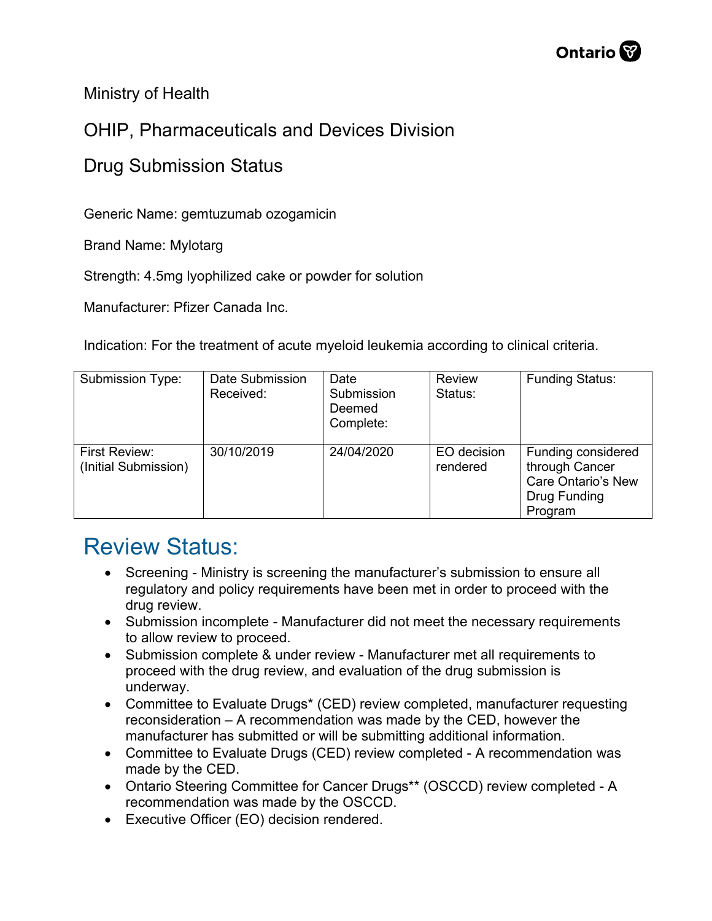Ministry of Health

## OHIP, Pharmaceuticals and Devices Division

## Drug Submission Status

Generic Name: gemtuzumab ozogamicin

Brand Name: Mylotarg

Strength: 4.5mg lyophilized cake or powder for solution

Manufacturer: Pfizer Canada Inc.

Indication: For the treatment of acute myeloid leukemia according to clinical criteria.

| <b>Submission Type:</b>               | Date Submission<br>Received: | Date<br>Submission<br>Deemed<br>Complete: | Review<br>Status:       | <b>Funding Status:</b>                                                                       |
|---------------------------------------|------------------------------|-------------------------------------------|-------------------------|----------------------------------------------------------------------------------------------|
| First Review:<br>(Initial Submission) | 30/10/2019                   | 24/04/2020                                | EO decision<br>rendered | Funding considered<br>through Cancer<br><b>Care Ontario's New</b><br>Drug Funding<br>Program |

## Review Status:

- Screening Ministry is screening the manufacturer's submission to ensure all regulatory and policy requirements have been met in order to proceed with the drug review.
- Submission incomplete Manufacturer did not meet the necessary requirements to allow review to proceed.
- Submission complete & under review Manufacturer met all requirements to proceed with the drug review, and evaluation of the drug submission is underway.
- Committee to Evaluate Drugs\* (CED) review completed, manufacturer requesting reconsideration – A recommendation was made by the CED, however the manufacturer has submitted or will be submitting additional information.
- Committee to Evaluate Drugs (CED) review completed A recommendation was made by the CED.
- Ontario Steering Committee for Cancer Drugs\*\* (OSCCD) review completed A recommendation was made by the OSCCD.
- Executive Officer (EO) decision rendered.